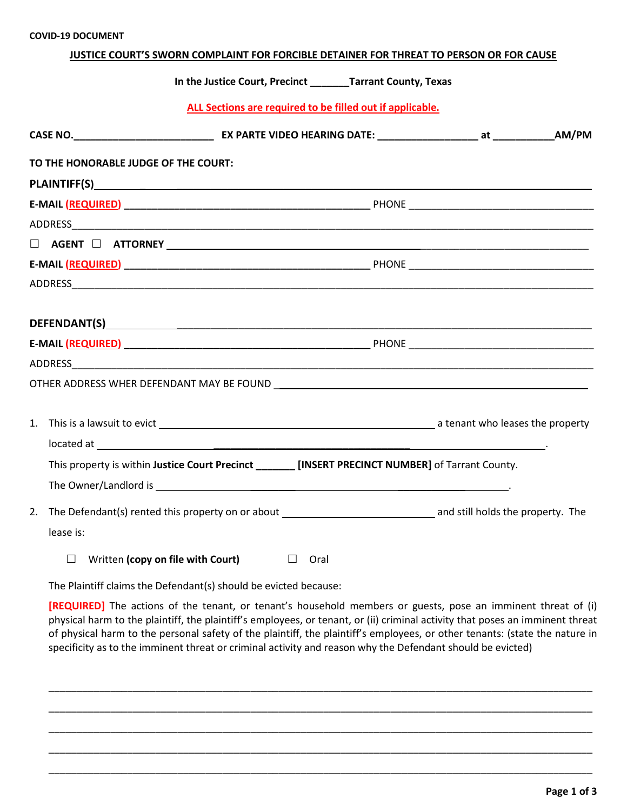## **JUSTICE COURT'S SWORN COMPLAINT FOR FORCIBLE DETAINER FOR THREAT TO PERSON OR FOR CAUSE**

**In the Justice Court, Precinct \_\_\_\_\_\_\_Tarrant County, Texas**

**ALL Sections are required to be filled out if applicable.**

| TO THE HONORABLE JUDGE OF THE COURT: |                                                                                                     |  |
|--------------------------------------|-----------------------------------------------------------------------------------------------------|--|
|                                      |                                                                                                     |  |
|                                      |                                                                                                     |  |
|                                      |                                                                                                     |  |
|                                      |                                                                                                     |  |
|                                      |                                                                                                     |  |
|                                      |                                                                                                     |  |
|                                      |                                                                                                     |  |
|                                      |                                                                                                     |  |
|                                      |                                                                                                     |  |
|                                      |                                                                                                     |  |
|                                      |                                                                                                     |  |
|                                      | This property is within Justice Court Precinct ________ [INSERT PRECINCT NUMBER] of Tarrant County. |  |
|                                      |                                                                                                     |  |
| lease is:                            |                                                                                                     |  |
|                                      | $\Box$ Written (copy on file with Court) $\Box$ Oral                                                |  |

The Plaintiff claims the Defendant(s) should be evicted because:

**[REQUIRED]** The actions of the tenant, or tenant's household members or guests, pose an imminent threat of (i) physical harm to the plaintiff, the plaintiff's employees, or tenant, or (ii) criminal activity that poses an imminent threat of physical harm to the personal safety of the plaintiff, the plaintiff's employees, or other tenants: (state the nature in specificity as to the imminent threat or criminal activity and reason why the Defendant should be evicted)

\_\_\_\_\_\_\_\_\_\_\_\_\_\_\_\_\_\_\_\_\_\_\_\_\_\_\_\_\_\_\_\_\_\_\_\_\_\_\_\_\_\_\_\_\_\_\_\_\_\_\_\_\_\_\_\_\_\_\_\_\_\_\_\_\_\_\_\_\_\_\_\_\_\_\_\_\_\_\_\_\_\_\_\_\_\_\_\_\_\_\_\_\_\_\_\_\_

\_\_\_\_\_\_\_\_\_\_\_\_\_\_\_\_\_\_\_\_\_\_\_\_\_\_\_\_\_\_\_\_\_\_\_\_\_\_\_\_\_\_\_\_\_\_\_\_\_\_\_\_\_\_\_\_\_\_\_\_\_\_\_\_\_\_\_\_\_\_\_\_\_\_\_\_\_\_\_\_\_\_\_\_\_\_\_\_\_\_\_\_\_\_\_\_\_

\_\_\_\_\_\_\_\_\_\_\_\_\_\_\_\_\_\_\_\_\_\_\_\_\_\_\_\_\_\_\_\_\_\_\_\_\_\_\_\_\_\_\_\_\_\_\_\_\_\_\_\_\_\_\_\_\_\_\_\_\_\_\_\_\_\_\_\_\_\_\_\_\_\_\_\_\_\_\_\_\_\_\_\_\_\_\_\_\_\_\_\_\_\_\_\_\_

\_\_\_\_\_\_\_\_\_\_\_\_\_\_\_\_\_\_\_\_\_\_\_\_\_\_\_\_\_\_\_\_\_\_\_\_\_\_\_\_\_\_\_\_\_\_\_\_\_\_\_\_\_\_\_\_\_\_\_\_\_\_\_\_\_\_\_\_\_\_\_\_\_\_\_\_\_\_\_\_\_\_\_\_\_\_\_\_\_\_\_\_\_\_\_\_\_

\_\_\_\_\_\_\_\_\_\_\_\_\_\_\_\_\_\_\_\_\_\_\_\_\_\_\_\_\_\_\_\_\_\_\_\_\_\_\_\_\_\_\_\_\_\_\_\_\_\_\_\_\_\_\_\_\_\_\_\_\_\_\_\_\_\_\_\_\_\_\_\_\_\_\_\_\_\_\_\_\_\_\_\_\_\_\_\_\_\_\_\_\_\_\_\_\_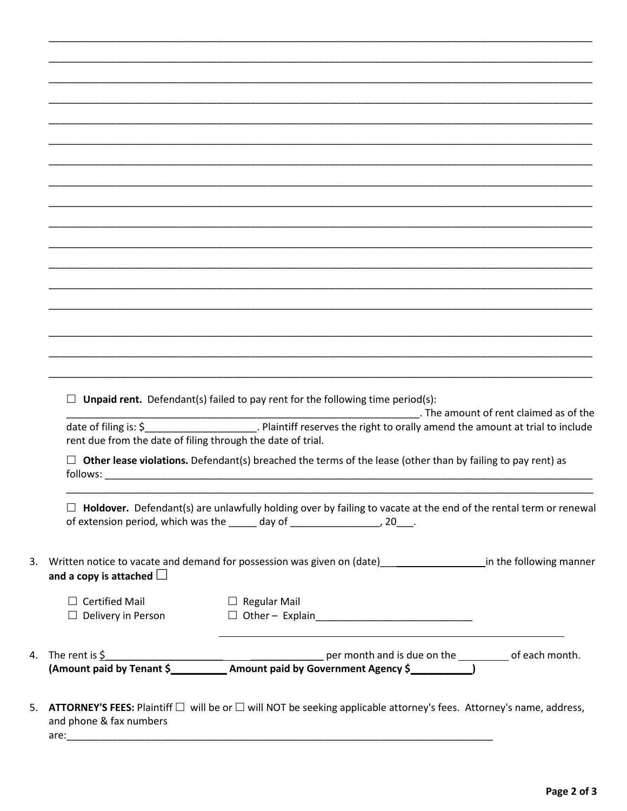| and a copy is attached $\square$<br>$\Box$ Certified Mail<br>$\Box$ Delivery in Person<br>4. The rent is $\frac{6}{5}$ | $\Box$ Regular Mail<br>$\Box$ Other - Explain________________________________                                                                                                                                                      |  |
|------------------------------------------------------------------------------------------------------------------------|------------------------------------------------------------------------------------------------------------------------------------------------------------------------------------------------------------------------------------|--|
|                                                                                                                        |                                                                                                                                                                                                                                    |  |
|                                                                                                                        |                                                                                                                                                                                                                                    |  |
|                                                                                                                        | 3. Written notice to vacate and demand for possession was given on (date)<br>2. Written notice to vacate and demand for possession was given on (date)<br>2. Written notice to vacate and demand for possession was given on (date |  |
|                                                                                                                        | Holdover. Defendant(s) are unlawfully holding over by failing to vacate at the end of the rental term or renewal<br>of extension period, which was the _____ day of ___________________, 20___.                                    |  |
| follows:                                                                                                               | $\Box$ Other lease violations. Defendant(s) breached the terms of the lease (other than by failing to pay rent) as                                                                                                                 |  |
| date of filing is: $\zeta$<br>rent due from the date of filing through the date of trial.                              | Plaintiff reserves the right to orally amend the amount at trial to include                                                                                                                                                        |  |
|                                                                                                                        | $\Box$ Unpaid rent. Defendant(s) failed to pay rent for the following time period(s):<br>. The amount of rent claimed as of the                                                                                                    |  |
|                                                                                                                        |                                                                                                                                                                                                                                    |  |
|                                                                                                                        |                                                                                                                                                                                                                                    |  |
|                                                                                                                        |                                                                                                                                                                                                                                    |  |
|                                                                                                                        |                                                                                                                                                                                                                                    |  |
|                                                                                                                        |                                                                                                                                                                                                                                    |  |
|                                                                                                                        |                                                                                                                                                                                                                                    |  |
|                                                                                                                        |                                                                                                                                                                                                                                    |  |
|                                                                                                                        |                                                                                                                                                                                                                                    |  |